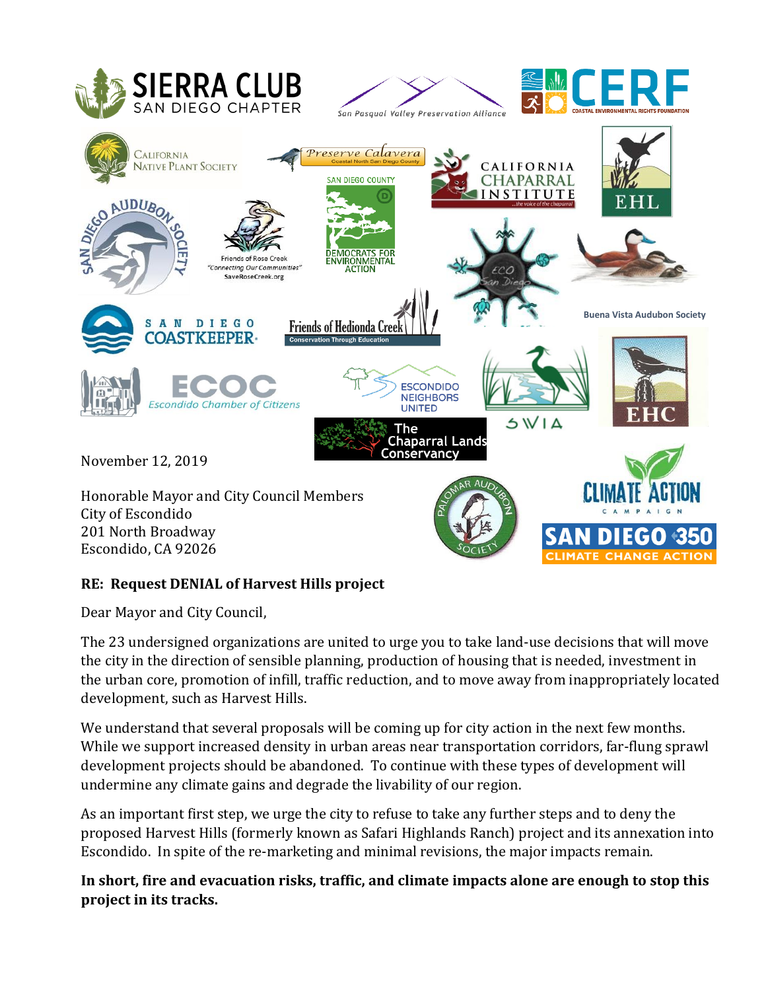

## **RE: Request DENIAL of Harvest Hills project**

Dear Mayor and City Council,

The 23 undersigned organizations are united to urge you to take land-use decisions that will move the city in the direction of sensible planning, production of housing that is needed, investment in the urban core, promotion of infill, traffic reduction, and to move away from inappropriately located development, such as Harvest Hills.

We understand that several proposals will be coming up for city action in the next few months. While we support increased density in urban areas near transportation corridors, far-flung sprawl development projects should be abandoned. To continue with these types of development will undermine any climate gains and degrade the livability of our region.

As an important first step, we urge the city to refuse to take any further steps and to deny the proposed Harvest Hills (formerly known as Safari Highlands Ranch) project and its annexation into Escondido. In spite of the re-marketing and minimal revisions, the major impacts remain.

**In short, fire and evacuation risks, traffic, and climate impacts alone are enough to stop this project in its tracks.**